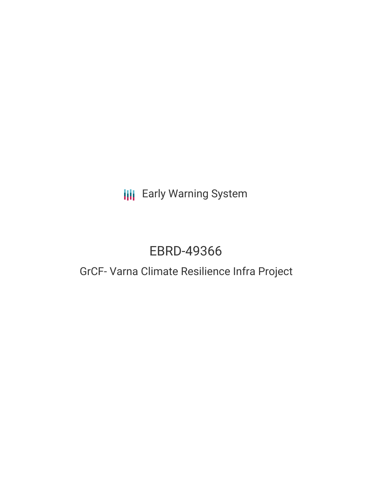# **III** Early Warning System

# EBRD-49366

## GrCF- Varna Climate Resilience Infra Project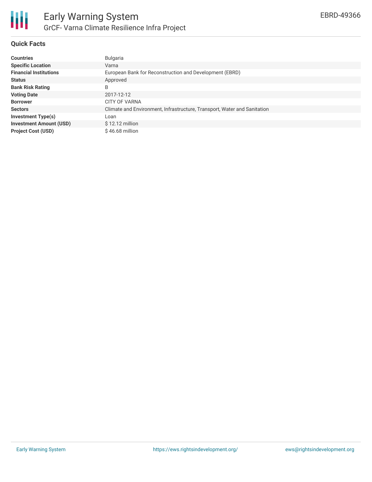

#### **Quick Facts**

| <b>Countries</b>               | Bulgaria                                                                 |
|--------------------------------|--------------------------------------------------------------------------|
| <b>Specific Location</b>       | Varna                                                                    |
| <b>Financial Institutions</b>  | European Bank for Reconstruction and Development (EBRD)                  |
| <b>Status</b>                  | Approved                                                                 |
| <b>Bank Risk Rating</b>        | B                                                                        |
| <b>Voting Date</b>             | 2017-12-12                                                               |
| <b>Borrower</b>                | <b>CITY OF VARNA</b>                                                     |
| <b>Sectors</b>                 | Climate and Environment, Infrastructure, Transport, Water and Sanitation |
| <b>Investment Type(s)</b>      | Loan                                                                     |
| <b>Investment Amount (USD)</b> | $$12.12$ million                                                         |
| <b>Project Cost (USD)</b>      | $$46.68$ million                                                         |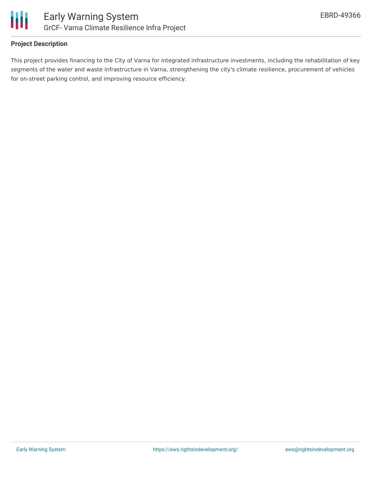

## **Project Description**

This project provides financing to the City of Varna for integrated infrastructure investments, including the rehabilitation of key segments of the water and waste infrastructure in Varna, strengthening the city's climate resilience, procurement of vehicles for on-street parking control, and improving resource efficiency.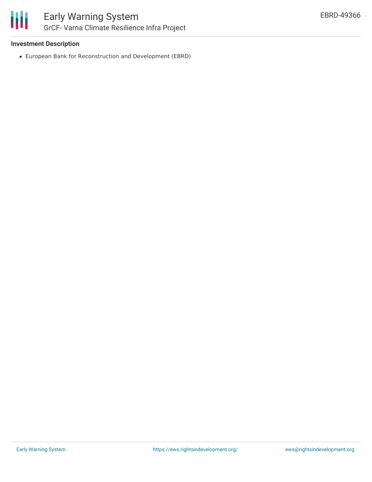

## **Investment Description**

European Bank for Reconstruction and Development (EBRD)